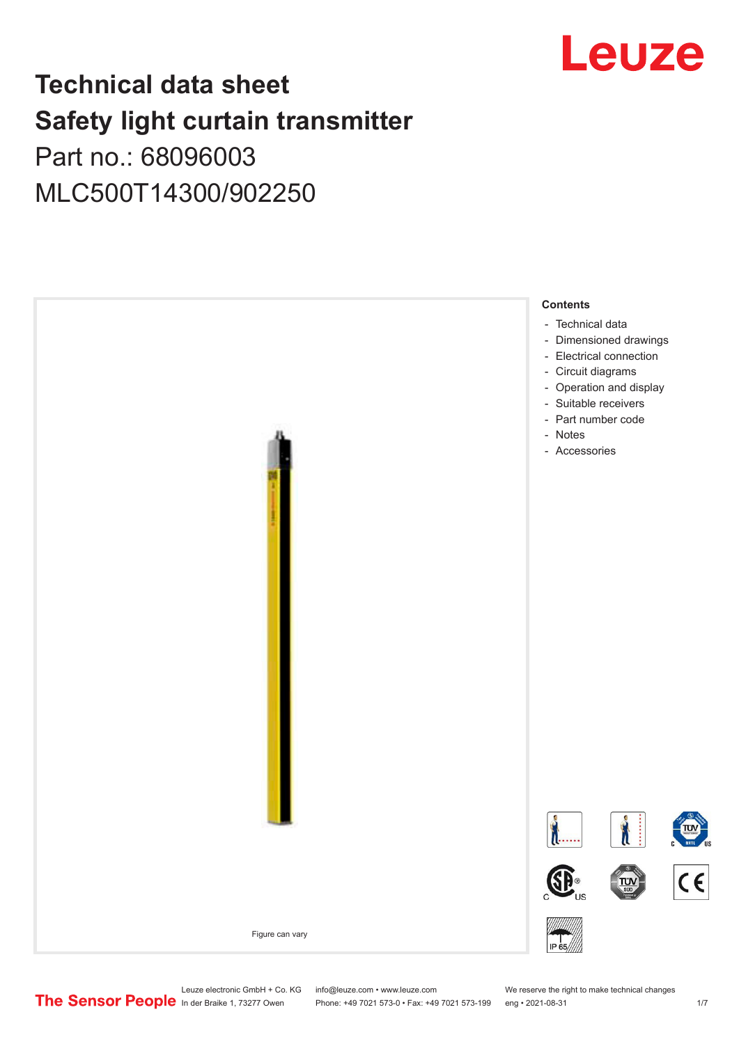

## **Technical data sheet Safety light curtain transmitter** Part no.: 68096003

MLC500T14300/902250



Leuze electronic GmbH + Co. KG info@leuze.com • www.leuze.com We reserve the right to make technical changes<br>
The Sensor People in der Braike 1, 73277 Owen Phone: +49 7021 573-0 • Fax: +49 7021 573-199 eng • 2021-08-31

Phone: +49 7021 573-0 • Fax: +49 7021 573-199 eng • 2021-08-31 1 7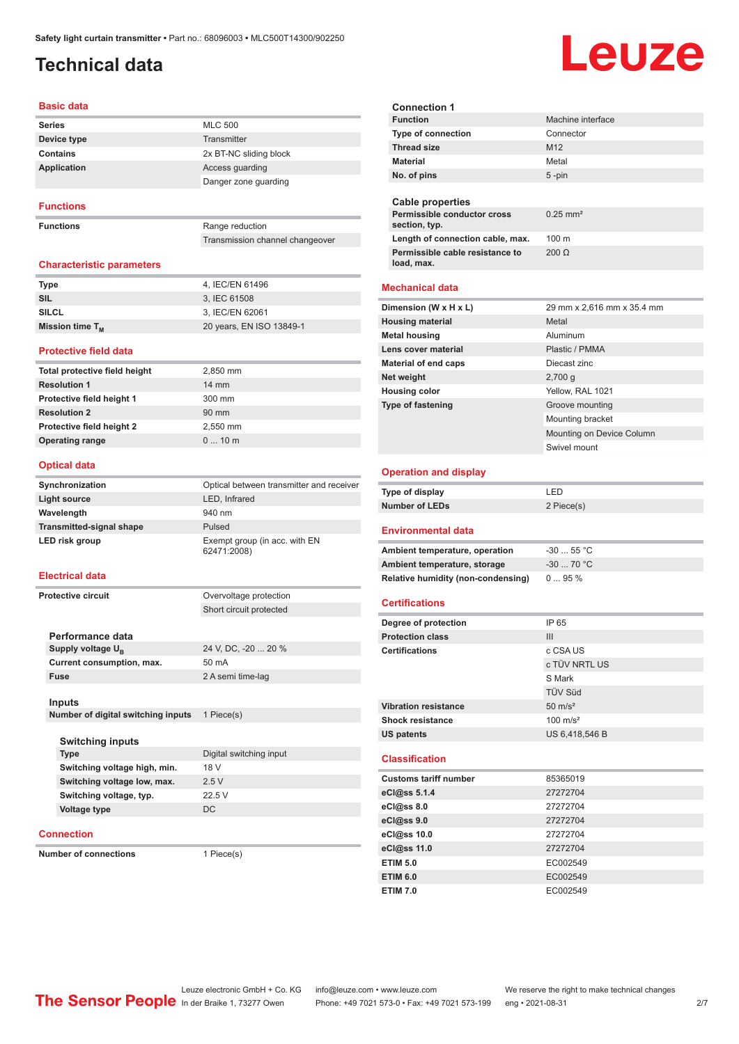## <span id="page-1-0"></span>**Technical data**

### **Basic data**

| <b>Series</b> | <b>MLC 500</b>         |
|---------------|------------------------|
| Device type   | Transmitter            |
| Contains      | 2x BT-NC sliding block |
| Application   | Access quarding        |
|               | Danger zone quarding   |

### **Functions**

**Functions** Range reduction

Transmission channel changeover

### **Characteristic parameters**

| <b>Type</b>          | 4. IEC/EN 61496          |
|----------------------|--------------------------|
| SIL                  | 3. IEC 61508             |
| <b>SILCL</b>         | 3, IEC/EN 62061          |
| Mission time $T_{M}$ | 20 years, EN ISO 13849-1 |

### **Protective field data**

| Total protective field height | 2,850 mm        |
|-------------------------------|-----------------|
| <b>Resolution 1</b>           | $14 \text{ mm}$ |
| Protective field height 1     | 300 mm          |
| <b>Resolution 2</b>           | $90 \text{ mm}$ |
| Protective field height 2     | 2.550 mm        |
| <b>Operating range</b>        | $010$ m         |
|                               |                 |

### **Optical data**

| Synchronization                 | Optical between transmitter and receiver     |
|---------------------------------|----------------------------------------------|
| <b>Light source</b>             | LED, Infrared                                |
| Wavelength                      | 940 nm                                       |
| <b>Transmitted-signal shape</b> | Pulsed                                       |
| LED risk group                  | Exempt group (in acc. with EN<br>62471:2008) |

### **Electrical data**

| Overvoltage protection  |
|-------------------------|
| Short circuit protected |
|                         |
|                         |
| 24 V, DC, -20  20 %     |
| 50 mA                   |
| 2 A semi time-lag       |
|                         |
|                         |
|                         |

**Number of digital switching inputs** 1 Piece(s)

| <b>Switching inputs</b>      |                         |
|------------------------------|-------------------------|
| <b>Type</b>                  | Digital switching input |
| Switching voltage high, min. | 18 V                    |
| Switching voltage low, max.  | 2.5V                    |
| Switching voltage, typ.      | 22.5V                   |
| Voltage type                 | DC                      |
|                              |                         |

**Connection**

**Number of connections** 1 Piece(s)

| <b>Connection 1</b>                              |                                     |  |
|--------------------------------------------------|-------------------------------------|--|
| <b>Function</b>                                  | Machine interface                   |  |
| <b>Type of connection</b>                        | Connector                           |  |
| <b>Thread size</b>                               | M <sub>12</sub>                     |  |
| <b>Material</b>                                  | Metal                               |  |
| No. of pins                                      | 5-pin                               |  |
|                                                  |                                     |  |
| <b>Cable properties</b>                          |                                     |  |
| Permissible conductor cross<br>section, typ.     | $0.25$ mm <sup>2</sup>              |  |
| Length of connection cable, max.<br>100 m        |                                     |  |
| Permissible cable resistance to                  | $200 \Omega$                        |  |
| load, max.                                       |                                     |  |
|                                                  |                                     |  |
| <b>Mechanical data</b>                           |                                     |  |
| Dimension (W x H x L)                            | 29 mm x 2,616 mm x 35.4 mm          |  |
| <b>Housing material</b>                          | Metal                               |  |
| <b>Metal housing</b>                             | Aluminum                            |  |
| Lens cover material                              | Plastic / PMMA                      |  |
| <b>Material of end caps</b>                      | Diecast zinc                        |  |
| Net weight                                       | 2,700 g                             |  |
| <b>Housing color</b><br><b>Type of fastening</b> | Yellow, RAL 1021<br>Groove mounting |  |
|                                                  | Mounting bracket                    |  |
|                                                  | Mounting on Device Column           |  |
|                                                  | Swivel mount                        |  |
|                                                  |                                     |  |
| <b>Operation and display</b>                     |                                     |  |
|                                                  |                                     |  |
| Type of display                                  | <b>LED</b>                          |  |
| <b>Number of LEDs</b>                            | 2 Piece(s)                          |  |
| <b>Environmental data</b>                        |                                     |  |
| Ambient temperature, operation                   | $-30$ 55 °C                         |  |
| Ambient temperature, storage                     | $-30$ 70 °C                         |  |
| Relative humidity (non-condensing)               | 095%                                |  |
|                                                  |                                     |  |
| <b>Certifications</b>                            |                                     |  |
| Degree of protection                             | IP 65                               |  |
| <b>Protection class</b>                          | Ш                                   |  |
| <b>Certifications</b>                            | c CSA US                            |  |
|                                                  | c TÜV NRTL US                       |  |
|                                                  | S Mark<br>TÜV Süd                   |  |
| <b>Vibration resistance</b>                      | $50 \text{ m/s}^2$                  |  |
| <b>Shock resistance</b>                          | $100 \text{ m/s}^2$                 |  |
| US patents                                       | US 6,418,546 B                      |  |
|                                                  |                                     |  |
| <b>Classification</b>                            |                                     |  |
| <b>Customs tariff number</b>                     | 85365019                            |  |
| eCl@ss 5.1.4                                     | 27272704                            |  |
| eCl@ss 8.0                                       | 27272704                            |  |
| eCl@ss 9.0                                       | 27272704                            |  |
| eCl@ss 10.0                                      | 27272704                            |  |
| eCl@ss 11.0                                      | 27272704                            |  |
| <b>ETIM 5.0</b>                                  | EC002549                            |  |
| <b>ETIM 6.0</b><br><b>ETIM 7.0</b>               | EC002549<br>EC002549                |  |

# Leuze

Leuze electronic GmbH + Co. KG info@leuze.com • www.leuze.com We reserve the right to make technical changes<br>
The Sensor People in der Braike 1, 73277 Owen Phone: +49 7021 573-0 • Fax: +49 7021 573-199 eng • 2021-08-31

Phone: +49 7021 573-0 • Fax: +49 7021 573-199 eng • 2021-08-31 2 77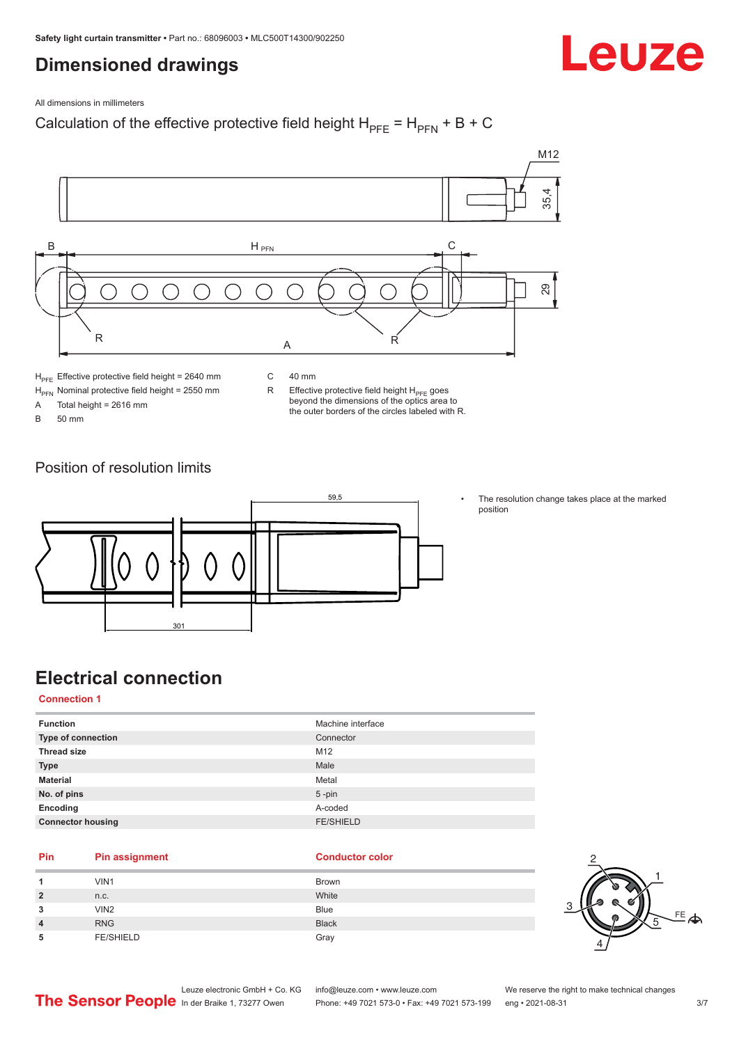### <span id="page-2-0"></span>**Dimensioned drawings**



All dimensions in millimeters

### Calculation of the effective protective field height  $H_{PFE} = H_{PFN} + B + C$



 $H<sub>PE</sub>$  Effective protective field height = 2640 mm

 $H_{\text{PFN}}$  Nominal protective field height = 2550 mm<br>A Total height = 2616 mm

Total height =  $2616$  mm

B 50 mm

C 40 mm

R Effective protective field height  $H_{PFE}$  goes beyond the dimensions of the optics area to the outer borders of the circles labeled with R.

Position of resolution limits



The resolution change takes place at the marked position

## **Electrical connection**

**Connection 1**

| <b>Function</b>          | Machine interface |
|--------------------------|-------------------|
| Type of connection       | Connector         |
| <b>Thread size</b>       | M <sub>12</sub>   |
| <b>Type</b>              | Male              |
| <b>Material</b>          | Metal             |
| No. of pins              | $5$ -pin          |
| Encoding                 | A-coded           |
| <b>Connector housing</b> | <b>FE/SHIELD</b>  |
|                          |                   |

### **Pin Pin assignment Conductor Conductor Color**

| 4              | VIN1             | <b>Brown</b> |
|----------------|------------------|--------------|
| $\overline{2}$ | n.c.             | White        |
| 3              | VIN <sub>2</sub> | <b>Blue</b>  |
| $\overline{4}$ | <b>RNG</b>       | <b>Black</b> |
| 5              | <b>FE/SHIELD</b> | Gray         |

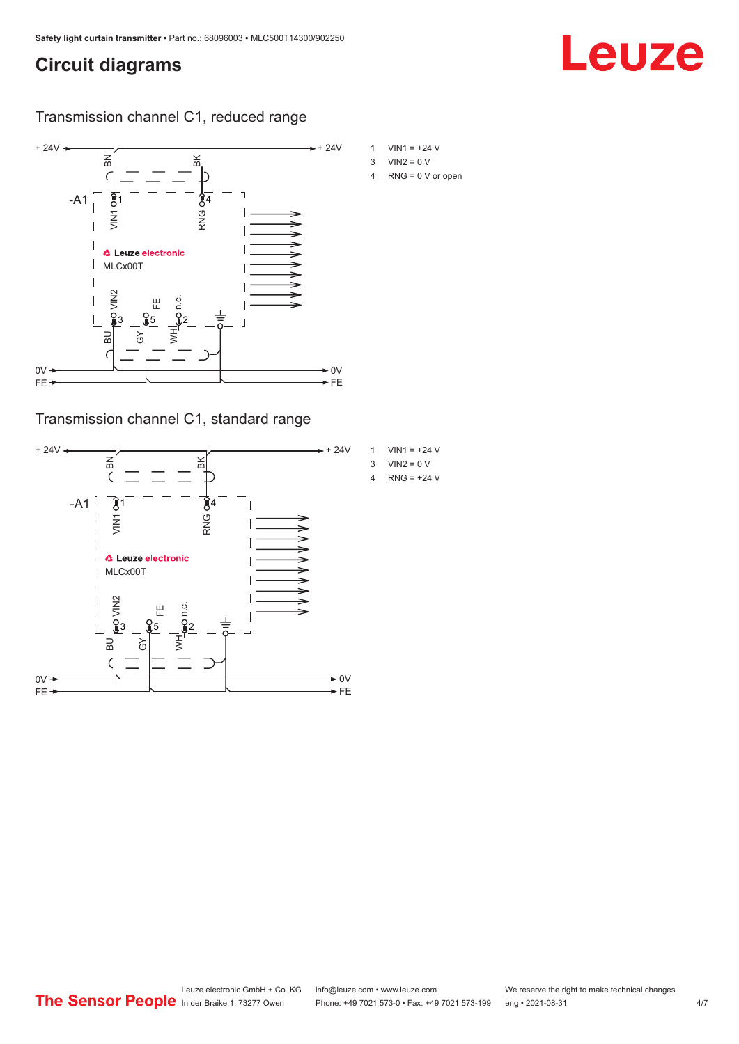## <span id="page-3-0"></span>**Circuit diagrams**

# Leuze

Transmission channel C1, reduced range



Transmission channel C1, standard range

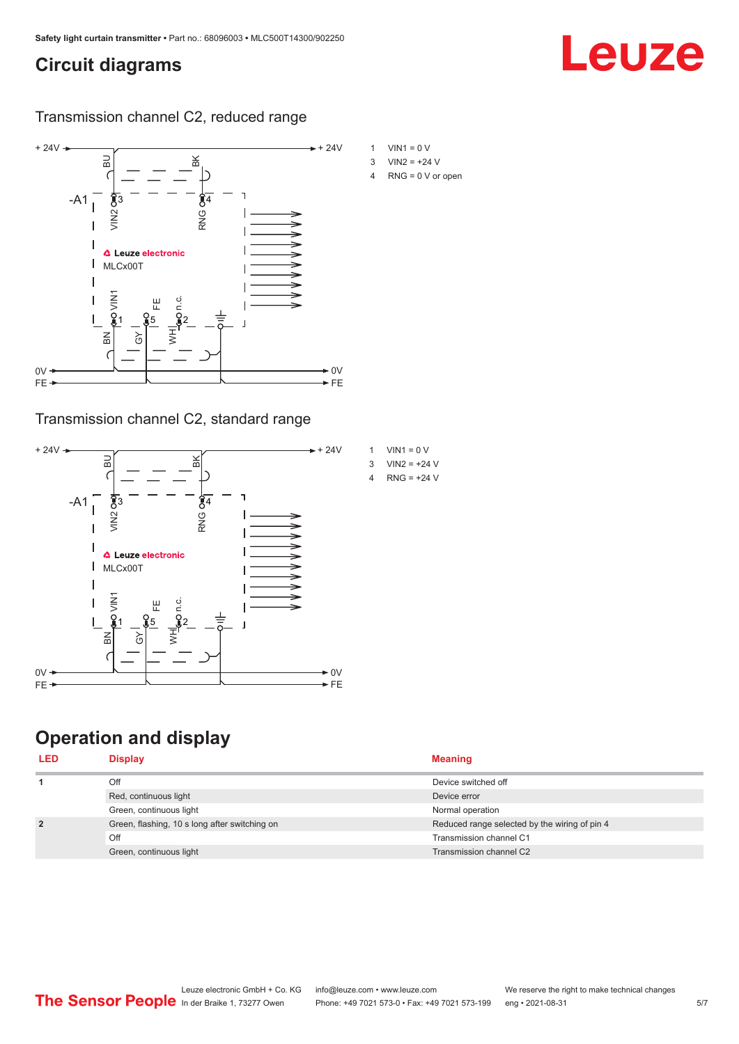## <span id="page-4-0"></span>**Circuit diagrams**

Leuze

Transmission channel C2, reduced range



### Transmission channel C2, standard range



## **Operation and display**

| <b>Display</b>                                | <b>Meaning</b>                                |
|-----------------------------------------------|-----------------------------------------------|
| Off                                           | Device switched off                           |
| Red, continuous light                         | Device error                                  |
| Green, continuous light                       | Normal operation                              |
| Green, flashing, 10 s long after switching on | Reduced range selected by the wiring of pin 4 |
| Off                                           | Transmission channel C1                       |
| Green, continuous light                       | Transmission channel C2                       |
|                                               |                                               |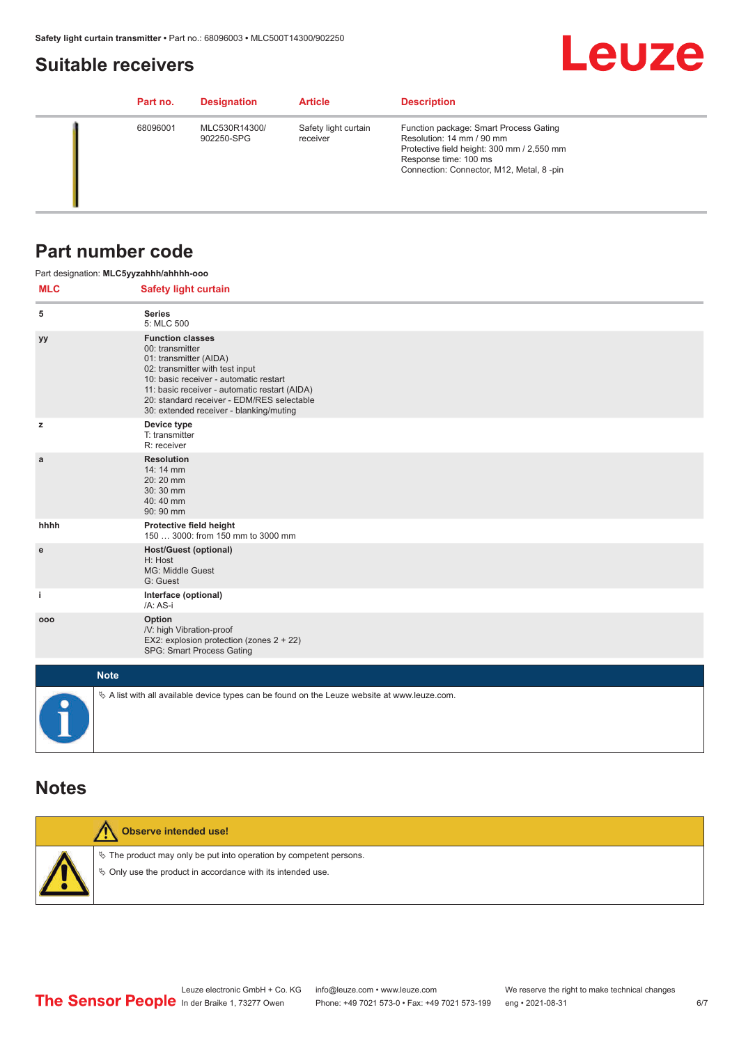### <span id="page-5-0"></span>**Suitable receivers**



| Part no. | <b>Designation</b>          | <b>Article</b>                   | <b>Description</b>                                                                                                                                                                     |
|----------|-----------------------------|----------------------------------|----------------------------------------------------------------------------------------------------------------------------------------------------------------------------------------|
| 68096001 | MLC530R14300/<br>902250-SPG | Safety light curtain<br>receiver | Function package: Smart Process Gating<br>Resolution: 14 mm / 90 mm<br>Protective field height: 300 mm / 2,550 mm<br>Response time: 100 ms<br>Connection: Connector, M12, Metal, 8-pin |

### **Part number code**

| <b>MLC</b> | Part designation: MLC5yyzahhh/ahhhh-ooo<br><b>Safety light curtain</b>                                                                                                                                                                                                                      |
|------------|---------------------------------------------------------------------------------------------------------------------------------------------------------------------------------------------------------------------------------------------------------------------------------------------|
| 5          | <b>Series</b><br>5: MLC 500                                                                                                                                                                                                                                                                 |
| уу         | <b>Function classes</b><br>00: transmitter<br>01: transmitter (AIDA)<br>02: transmitter with test input<br>10: basic receiver - automatic restart<br>11: basic receiver - automatic restart (AIDA)<br>20: standard receiver - EDM/RES selectable<br>30: extended receiver - blanking/muting |
| z          | Device type<br>T: transmitter<br>R: receiver                                                                                                                                                                                                                                                |
| a          | <b>Resolution</b><br>14:14 mm<br>20:20 mm<br>30:30 mm<br>40:40 mm<br>90: 90 mm                                                                                                                                                                                                              |
| hhhh       | Protective field height<br>150  3000: from 150 mm to 3000 mm                                                                                                                                                                                                                                |
| e          | <b>Host/Guest (optional)</b><br>H: Host<br>MG: Middle Guest<br>G: Guest                                                                                                                                                                                                                     |
| j.         | Interface (optional)<br>/A: AS-i                                                                                                                                                                                                                                                            |
| 000        | Option<br>/V: high Vibration-proof<br>EX2: explosion protection (zones 2 + 22)<br>SPG: Smart Process Gating                                                                                                                                                                                 |
|            | <b>Note</b>                                                                                                                                                                                                                                                                                 |
| 0          | $\&$ A list with all available device types can be found on the Leuze website at www.leuze.com.                                                                                                                                                                                             |

### **Notes**

| <b>Observe intended use!</b>                                                                                                            |
|-----------------------------------------------------------------------------------------------------------------------------------------|
| $\&$ The product may only be put into operation by competent persons.<br>$\%$ Only use the product in accordance with its intended use. |